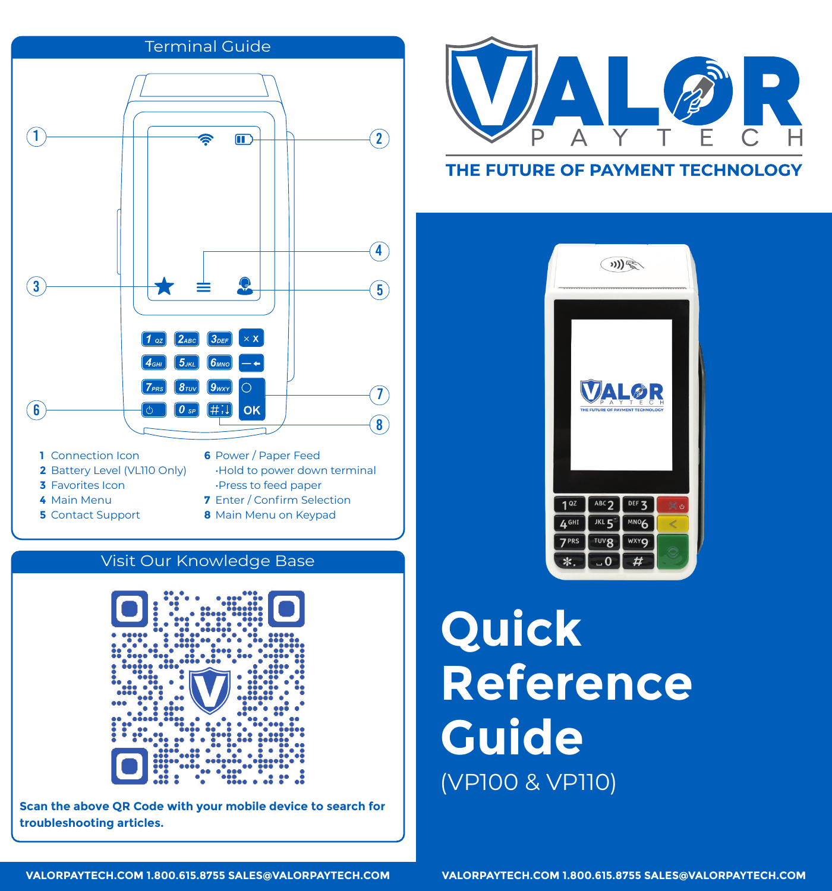

## Visit Our Knowledge Base



**Scan the above QR Code with your mobile device to search for troubleshooting articles.**



# THE FUTURE OF PAYMENT TECHNOLOGY



**Quick Reference Guide** (VP100 & VP110)

**VALORPAYTECH.COM 1.800.615.8755 SALES@VALORPAYTECH.COM**